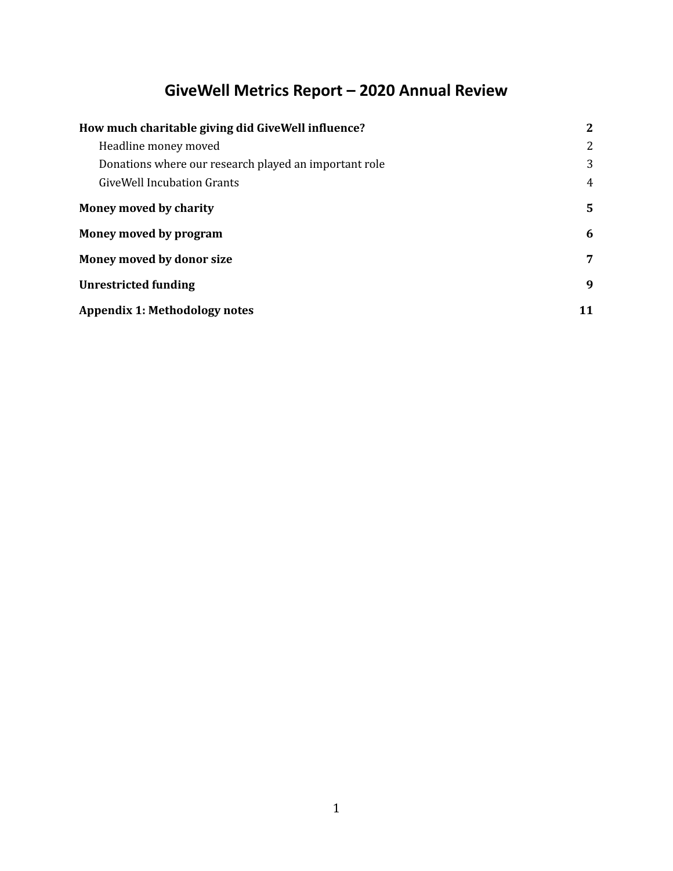# **GiveWell Metrics Report – 2020 Annual Review**

| How much charitable giving did GiveWell influence?    |    |  |
|-------------------------------------------------------|----|--|
| Headline money moved                                  | 2  |  |
| Donations where our research played an important role | 3  |  |
| GiveWell Incubation Grants                            |    |  |
| Money moved by charity                                | 5. |  |
| Money moved by program                                | 6  |  |
| Money moved by donor size                             | 7  |  |
| <b>Unrestricted funding</b>                           | 9  |  |
| <b>Appendix 1: Methodology notes</b>                  | 11 |  |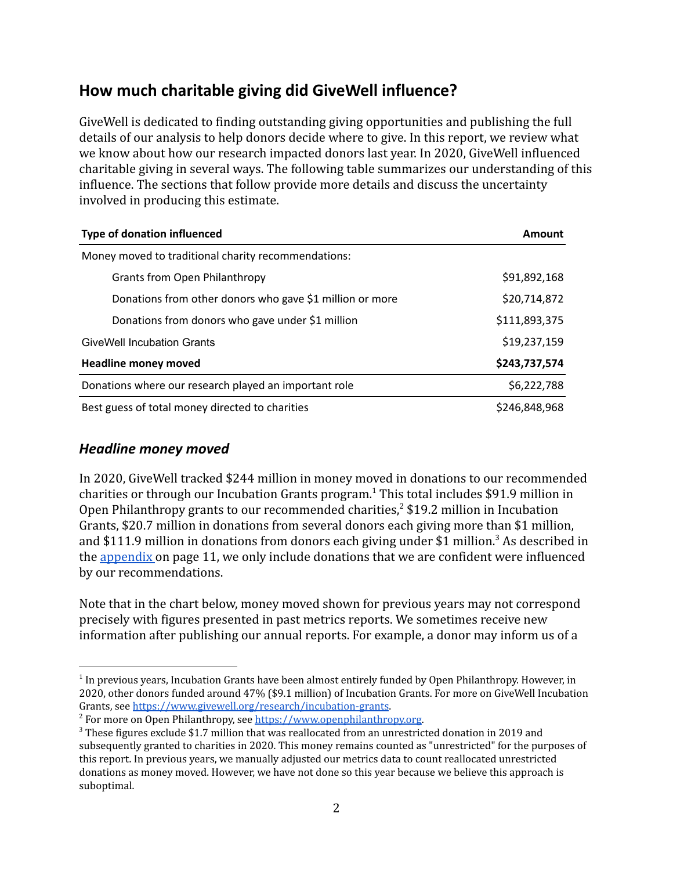# <span id="page-1-0"></span>**How much charitable giving did GiveWell influence?**

GiveWell is dedicated to finding outstanding giving opportunities and publishing the full details of our analysis to help donors decide where to give. In this report, we review what we know about how our research impacted donors last year. In 2020, GiveWell influenced charitable giving in several ways. The following table summarizes our understanding of this influence. The sections that follow provide more details and discuss the uncertainty involved in producing this estimate.

| <b>Type of donation influenced</b>                       | Amount        |  |  |
|----------------------------------------------------------|---------------|--|--|
| Money moved to traditional charity recommendations:      |               |  |  |
| <b>Grants from Open Philanthropy</b>                     | \$91,892,168  |  |  |
| Donations from other donors who gave \$1 million or more | \$20,714,872  |  |  |
| Donations from donors who gave under \$1 million         | \$111,893,375 |  |  |
| <b>GiveWell Incubation Grants</b>                        | \$19,237,159  |  |  |
| <b>Headline money moved</b>                              | \$243,737,574 |  |  |
| Donations where our research played an important role    | \$6,222,788   |  |  |
| Best guess of total money directed to charities          | \$246,848,968 |  |  |

### <span id="page-1-1"></span>*Headline money moved*

In 2020, GiveWell tracked \$244 million in money moved in donations to our recommended charities or through our Incubation Grants program.<sup>1</sup> This total includes \$91.9 million in Open Philanthropy grants to our recommended charities,  $2 \sin 19.2$  million in Incubation Grants, \$20.7 million in donations from several donors each giving more than \$1 million, and \$111.9 million in donations from donors each giving under \$1 million.<sup>3</sup> As described in the appendix on page 11, we only include donations that we are confident were influenced by our recommendations.

Note that in the chart below, money moved shown for previous years may not correspond precisely with figures presented in past metrics reports. We sometimes receive new information after publishing our annual reports. For example, a donor may inform us of a

<sup>&</sup>lt;sup>1</sup> In previous years, Incubation Grants have been almost entirely funded by Open Philanthropy. However, in 2020, other donors funded around 47% (\$9.1 million) of Incubation Grants. For more on GiveWell Incubation Grants, see [https://www.givewell.org/research/incubation-grants.](https://www.givewell.org/research/incubation-grants)

<sup>&</sup>lt;sup>2</sup> For more on Open Philanthropy, see [https://www.openphilanthropy.org.](https://www.openphilanthropy.org/)

<sup>3</sup> These figures exclude \$1.7 million that was reallocated from an unrestricted donation in 2019 and subsequently granted to charities in 2020. This money remains counted as "unrestricted" for the purposes of this report. In previous years, we manually adjusted our metrics data to count reallocated unrestricted donations as money moved. However, we have not done so this year because we believe this approach is suboptimal.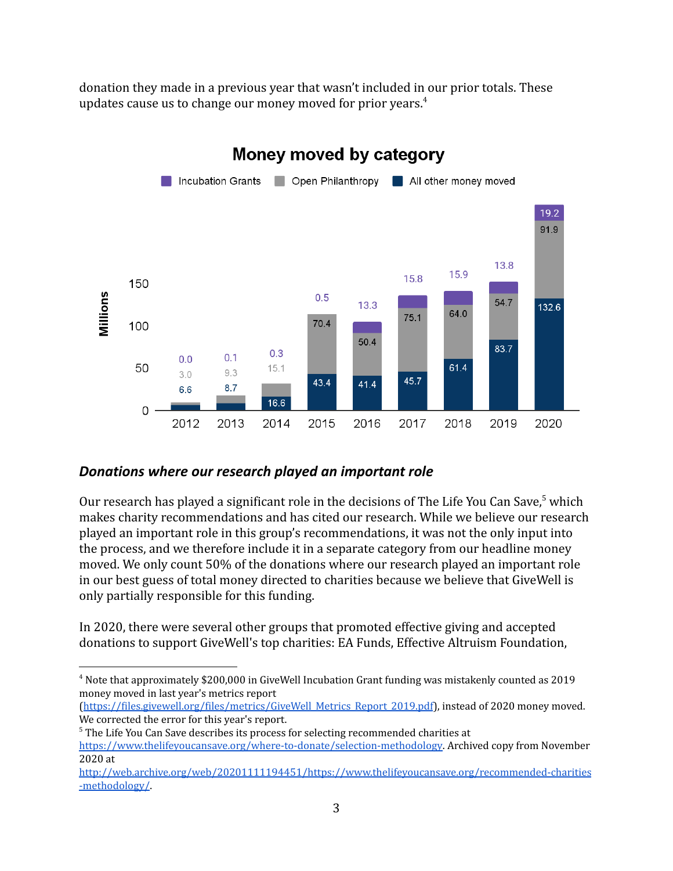donation they made in a previous year that wasn't included in our prior totals. These updates cause us to change our money moved for prior years.<sup>4</sup>



### <span id="page-2-0"></span>*Donations where our research played an important role*

Our research has played a significant role in the decisions of The Life You Can Save,  $5$  which makes charity recommendations and has cited our research. While we believe our research played an important role in this group's recommendations, it was not the only input into the process, and we therefore include it in a separate category from our headline money moved. We only count 50% of the donations where our research played an important role in our best guess of total money directed to charities because we believe that GiveWell is only partially responsible for this funding.

In 2020, there were several other groups that promoted effective giving and accepted donations to support GiveWell's top charities: EA Funds, Effective Altruism Foundation,

<sup>4</sup> Note that approximately \$200,000 in GiveWell Incubation Grant funding was mistakenly counted as 2019 money moved in last year's metrics report

<sup>(</sup>[https://files.givewell.org/files/metrics/GiveWell\\_Metrics\\_Report\\_2019.pdf](https://files.givewell.org/files/metrics/GiveWell_Metrics_Report_2019.pdf)), instead of 2020 money moved. We corrected the error for this year's report.

<sup>&</sup>lt;sup>5</sup> The Life You Can Save describes its process for selecting recommended charities at

[https://www.thelifeyoucansave.org/where-to-donate/selection-methodology.](https://www.thelifeyoucansave.org/where-to-donate/selection-methodology) Archived copy from November 2020 at

[http://web.archive.org/web/20201111194451/https://www.thelifeyoucansave.org/recommended-charities](http://web.archive.org/web/20201111194451/https://www.thelifeyoucansave.org/recommended-charities-methodology/) [-methodology/](http://web.archive.org/web/20201111194451/https://www.thelifeyoucansave.org/recommended-charities-methodology/).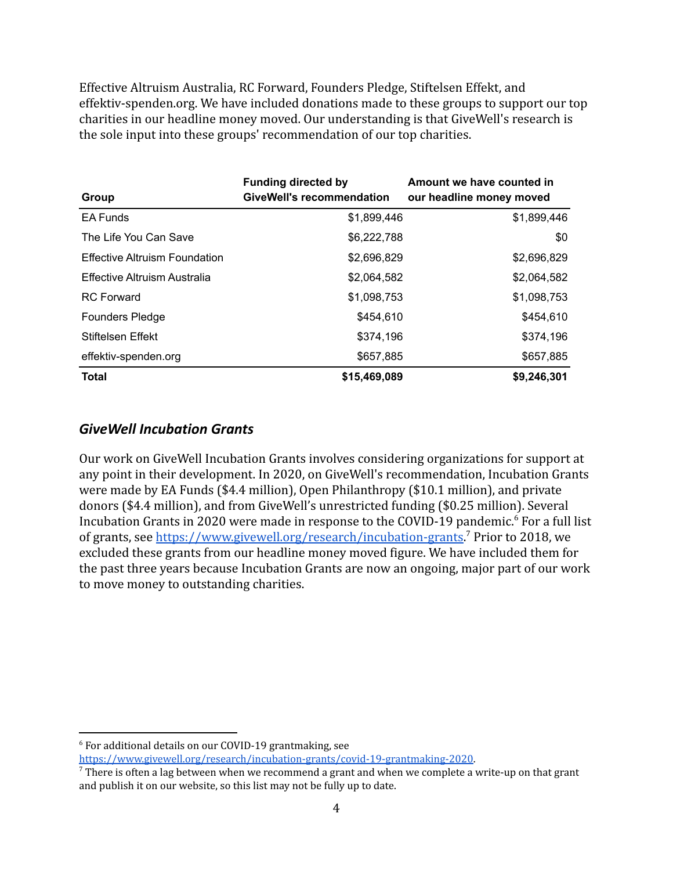Effective Altruism Australia, RC Forward, Founders Pledge, Stiftelsen Effekt, and effektiv-spenden.org. We have included donations made to these groups to support our top charities in our headline money moved. Our understanding is that GiveWell's research is the sole input into these groups' recommendation of our top charities.

| Group                         | <b>Funding directed by</b><br><b>GiveWell's recommendation</b> | Amount we have counted in<br>our headline money moved |
|-------------------------------|----------------------------------------------------------------|-------------------------------------------------------|
| <b>EA Funds</b>               | \$1,899,446                                                    | \$1,899,446                                           |
| The Life You Can Save         | \$6,222,788                                                    | \$0                                                   |
| Effective Altruism Foundation | \$2,696,829                                                    | \$2,696,829                                           |
| Effective Altruism Australia  | \$2,064,582                                                    | \$2,064,582                                           |
| <b>RC</b> Forward             | \$1,098,753                                                    | \$1,098,753                                           |
| <b>Founders Pledge</b>        | \$454.610                                                      | \$454,610                                             |
| Stiftelsen Effekt             | \$374.196                                                      | \$374,196                                             |
| effektiv-spenden.org          | \$657,885                                                      | \$657,885                                             |
| <b>Total</b>                  | \$15,469,089                                                   | \$9,246,301                                           |

### <span id="page-3-0"></span>*GiveWell Incubation Grants*

Our work on GiveWell Incubation Grants involves considering organizations for support at any point in their development. In 2020, on GiveWell's recommendation, Incubation Grants were made by EA Funds (\$4.4 million), Open Philanthropy (\$10.1 million), and private donors (\$4.4 million), and from GiveWell's unrestricted funding (\$0.25 million). Several Incubation Grants in 2020 were made in response to the COVID-19 pandemic.<sup>6</sup> For a full list of grants, see [https://www.givewell.org/research/incubation-grants.](https://www.givewell.org/research/incubation-grants)<sup>7</sup> Prior to 2018, we excluded these grants from our headline money moved figure. We have included them for the past three years because Incubation Grants are now an ongoing, major part of our work to move money to outstanding charities.

<sup>6</sup> For additional details on our COVID-19 grantmaking, see

[https://www.givewell.org/research/incubation-grants/covid-19-grantmaking-2020.](https://www.givewell.org/research/incubation-grants/covid-19-grantmaking-2020)

 $7$  There is often a lag between when we recommend a grant and when we complete a write-up on that grant and publish it on our website, so this list may not be fully up to date.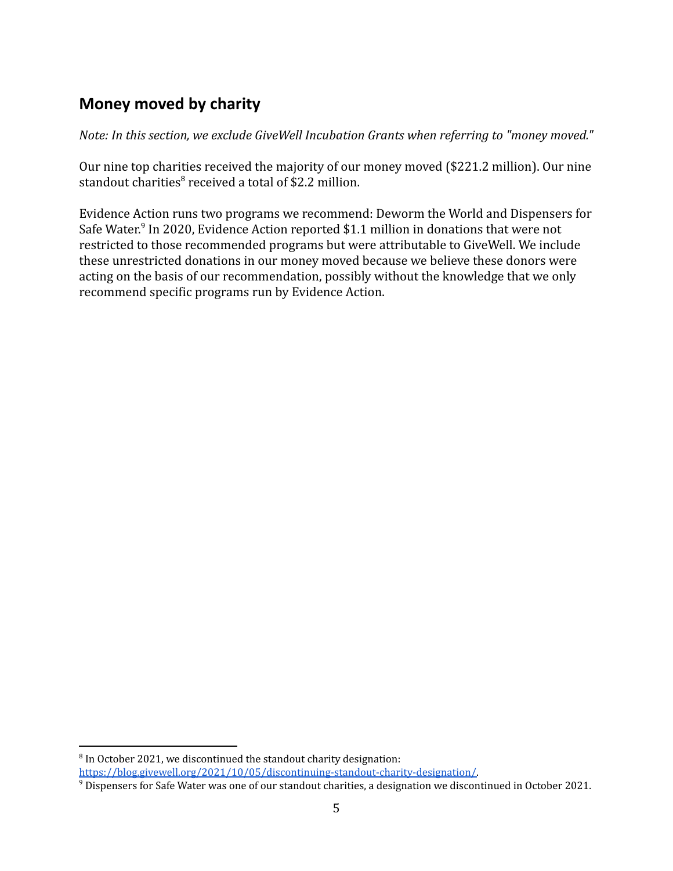# <span id="page-4-0"></span>**Money moved by charity**

*Note: In this section, we exclude GiveWell Incubation Grants when referring to "money moved."*

Our nine top charities received the majority of our money moved (\$221.2 million). Our nine standout charities $8$  received a total of \$2.2 million.

Evidence Action runs two programs we recommend: Deworm the World and Dispensers for Safe Water.<sup>9</sup> In 2020, Evidence Action reported \$1.1 million in donations that were not restricted to those recommended programs but were attributable to GiveWell. We include these unrestricted donations in our money moved because we believe these donors were acting on the basis of our recommendation, possibly without the knowledge that we only recommend specific programs run by Evidence Action.

 $8$  In October 2021, we discontinued the standout charity designation: [https://blog.givewell.org/2021/10/05/discontinuing-standout-charity-designation/.](https://blog.givewell.org/2021/10/05/discontinuing-standout-charity-designation/)

<sup>&</sup>lt;sup>9</sup> Dispensers for Safe Water was one of our standout charities, a designation we discontinued in October 2021.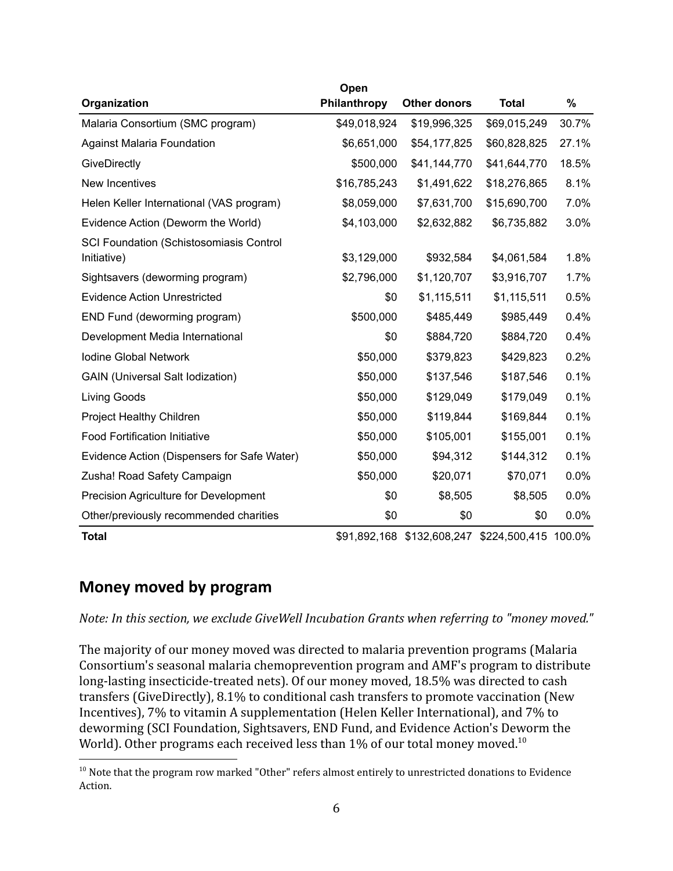|                                             | Open         |                            |                      |       |
|---------------------------------------------|--------------|----------------------------|----------------------|-------|
| Organization                                | Philanthropy | <b>Other donors</b>        | <b>Total</b>         | %     |
| Malaria Consortium (SMC program)            | \$49,018,924 | \$19,996,325               | \$69,015,249         | 30.7% |
| <b>Against Malaria Foundation</b>           | \$6,651,000  | \$54,177,825               | \$60,828,825         | 27.1% |
| GiveDirectly                                | \$500,000    | \$41,144,770               | \$41,644,770         | 18.5% |
| New Incentives                              | \$16,785,243 | \$1,491,622                | \$18,276,865         | 8.1%  |
| Helen Keller International (VAS program)    | \$8,059,000  | \$7,631,700                | \$15,690,700         | 7.0%  |
| Evidence Action (Deworm the World)          | \$4,103,000  | \$2,632,882                | \$6,735,882          | 3.0%  |
| SCI Foundation (Schistosomiasis Control     |              |                            |                      |       |
| Initiative)                                 | \$3,129,000  | \$932,584                  | \$4,061,584          | 1.8%  |
| Sightsavers (deworming program)             | \$2,796,000  | \$1,120,707                | \$3,916,707          | 1.7%  |
| <b>Evidence Action Unrestricted</b>         | \$0          | \$1,115,511                | \$1,115,511          | 0.5%  |
| END Fund (deworming program)                | \$500,000    | \$485,449                  | \$985,449            | 0.4%  |
| Development Media International             | \$0          | \$884,720                  | \$884,720            | 0.4%  |
| Iodine Global Network                       | \$50,000     | \$379,823                  | \$429,823            | 0.2%  |
| <b>GAIN (Universal Salt Iodization)</b>     | \$50,000     | \$137,546                  | \$187,546            | 0.1%  |
| Living Goods                                | \$50,000     | \$129,049                  | \$179,049            | 0.1%  |
| <b>Project Healthy Children</b>             | \$50,000     | \$119,844                  | \$169,844            | 0.1%  |
| <b>Food Fortification Initiative</b>        | \$50,000     | \$105,001                  | \$155,001            | 0.1%  |
| Evidence Action (Dispensers for Safe Water) | \$50,000     | \$94,312                   | \$144,312            | 0.1%  |
| Zusha! Road Safety Campaign                 | \$50,000     | \$20,071                   | \$70,071             | 0.0%  |
| Precision Agriculture for Development       | \$0          | \$8,505                    | \$8,505              | 0.0%  |
| Other/previously recommended charities      | \$0          | \$0                        | \$0                  | 0.0%  |
| <b>Total</b>                                |              | \$91,892,168 \$132,608,247 | \$224,500,415 100.0% |       |

### <span id="page-5-0"></span>**Money moved by program**

*Note: In this section, we exclude GiveWell Incubation Grants when referring to "money moved."*

The majority of our money moved was directed to malaria prevention programs (Malaria Consortium's seasonal malaria chemoprevention program and AMF's program to distribute long-lasting insecticide-treated nets). Of our money moved, 18.5% was directed to cash transfers (GiveDirectly), 8.1% to conditional cash transfers to promote vaccination (New Incentives), 7% to vitamin A supplementation (Helen Keller International), and 7% to deworming (SCI Foundation, Sightsavers, END Fund, and Evidence Action's Deworm the World). Other programs each received less than  $1\%$  of our total money moved.<sup>10</sup>

<sup>&</sup>lt;sup>10</sup> Note that the program row marked "Other" refers almost entirely to unrestricted donations to Evidence Action.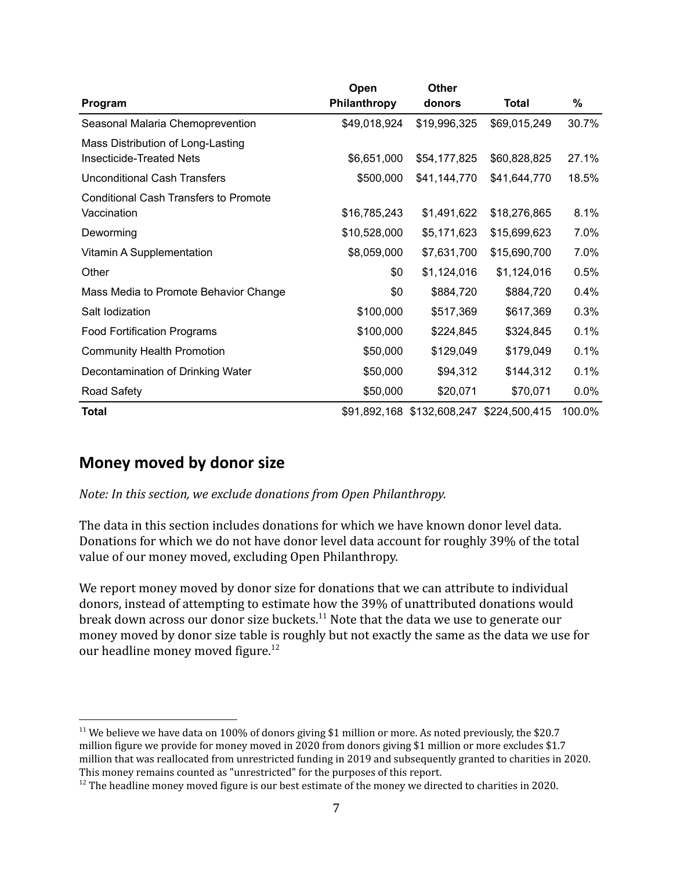|                                                                      | Open         | <b>Other</b>                             |              |         |
|----------------------------------------------------------------------|--------------|------------------------------------------|--------------|---------|
| Program                                                              | Philanthropy | donors                                   | <b>Total</b> | %       |
| Seasonal Malaria Chemoprevention                                     | \$49,018,924 | \$19,996,325                             | \$69,015,249 | 30.7%   |
| Mass Distribution of Long-Lasting<br><b>Insecticide-Treated Nets</b> | \$6,651,000  | \$54,177,825                             | \$60,828,825 | 27.1%   |
| <b>Unconditional Cash Transfers</b>                                  | \$500,000    | \$41,144,770                             | \$41,644,770 | 18.5%   |
| <b>Conditional Cash Transfers to Promote</b><br>Vaccination          | \$16,785,243 | \$1,491,622                              | \$18,276,865 | 8.1%    |
| Deworming                                                            | \$10,528,000 | \$5,171,623                              | \$15,699,623 | 7.0%    |
| Vitamin A Supplementation                                            | \$8,059,000  | \$7,631,700                              | \$15,690,700 | 7.0%    |
| Other                                                                | \$0          | \$1,124,016                              | \$1,124,016  | 0.5%    |
| Mass Media to Promote Behavior Change                                | \$0          | \$884,720                                | \$884,720    | 0.4%    |
| Salt lodization                                                      | \$100,000    | \$517,369                                | \$617,369    | 0.3%    |
| <b>Food Fortification Programs</b>                                   | \$100,000    | \$224,845                                | \$324,845    | 0.1%    |
| <b>Community Health Promotion</b>                                    | \$50,000     | \$129,049                                | \$179,049    | 0.1%    |
| Decontamination of Drinking Water                                    | \$50,000     | \$94,312                                 | \$144,312    | 0.1%    |
| Road Safety                                                          | \$50,000     | \$20,071                                 | \$70,071     | $0.0\%$ |
| <b>Total</b>                                                         |              | \$91,892,168 \$132,608,247 \$224,500,415 |              | 100.0%  |

### <span id="page-6-0"></span>**Money moved by donor size**

*Note: In this section, we exclude donations from Open Philanthropy.*

The data in this section includes donations for which we have known donor level data. Donations for which we do not have donor level data account for roughly 39% of the total value of our money moved, excluding Open Philanthropy.

We report money moved by donor size for donations that we can attribute to individual donors, instead of attempting to estimate how the 39% of unattributed donations would break down across our donor size buckets.<sup>11</sup> Note that the data we use to generate our money moved by donor size table is roughly but not exactly the same as the data we use for our headline money moved figure.<sup>12</sup>

<sup>&</sup>lt;sup>11</sup> We believe we have data on 100% of donors giving \$1 million or more. As noted previously, the \$20.7 million figure we provide for money moved in 2020 from donors giving \$1 million or more excludes \$1.7 million that was reallocated from unrestricted funding in 2019 and subsequently granted to charities in 2020. This money remains counted as "unrestricted" for the purposes of this report.

 $12$  The headline money moved figure is our best estimate of the money we directed to charities in 2020.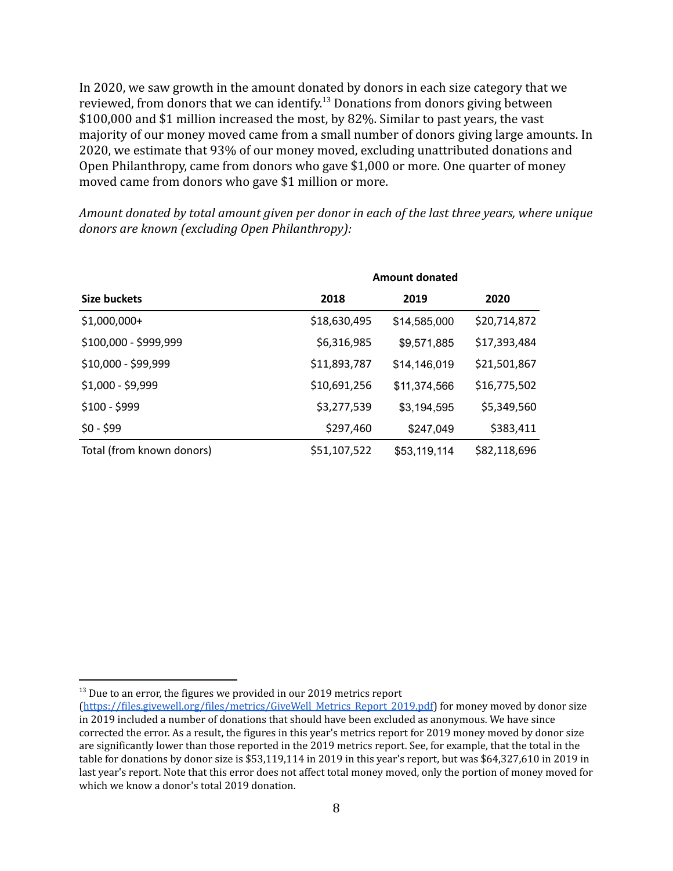In 2020, we saw growth in the amount donated by donors in each size category that we reviewed, from donors that we can identify.<sup>13</sup> Donations from donors giving between \$100,000 and \$1 million increased the most, by 82%. Similar to past years, the vast majority of our money moved came from a small number of donors giving large amounts. In 2020, we estimate that 93% of our money moved, excluding unattributed donations and Open Philanthropy, came from donors who gave \$1,000 or more. One quarter of money moved came from donors who gave \$1 million or more.

*Amount donated by total amount given per donor in each of the last three years, where unique donors are known (excluding Open Philanthropy):*

|                           | <b>Amount donated</b> |              |              |  |  |
|---------------------------|-----------------------|--------------|--------------|--|--|
| Size buckets              | 2018                  | 2019         | 2020         |  |  |
| \$1,000,000+              | \$18,630,495          | \$14,585,000 | \$20,714,872 |  |  |
| \$100,000 - \$999,999     | \$6,316,985           | \$9,571,885  | \$17,393,484 |  |  |
| \$10,000 - \$99,999       | \$11,893,787          | \$14,146,019 | \$21,501,867 |  |  |
| $$1,000 - $9,999$         | \$10,691,256          | \$11,374,566 | \$16,775,502 |  |  |
| $$100 - $999$             | \$3,277,539           | \$3,194,595  | \$5,349,560  |  |  |
| $$0 - $99$                | \$297,460             | \$247,049    | \$383,411    |  |  |
| Total (from known donors) | \$51,107,522          | \$53,119,114 | \$82,118,696 |  |  |

 $13$  Due to an error, the figures we provided in our 2019 metrics report

<sup>(</sup>[https://files.givewell.org/files/metrics/GiveWell\\_Metrics\\_Report\\_2019.pdf](https://files.givewell.org/files/metrics/GiveWell_Metrics_Report_2019.pdf)) for money moved by donor size in 2019 included a number of donations that should have been excluded as anonymous. We have since corrected the error. As a result, the figures in this year's metrics report for 2019 money moved by donor size are significantly lower than those reported in the 2019 metrics report. See, for example, that the total in the table for donations by donor size is \$53,119,114 in 2019 in this year's report, but was \$64,327,610 in 2019 in last year's report. Note that this error does not affect total money moved, only the portion of money moved for which we know a donor's total 2019 donation.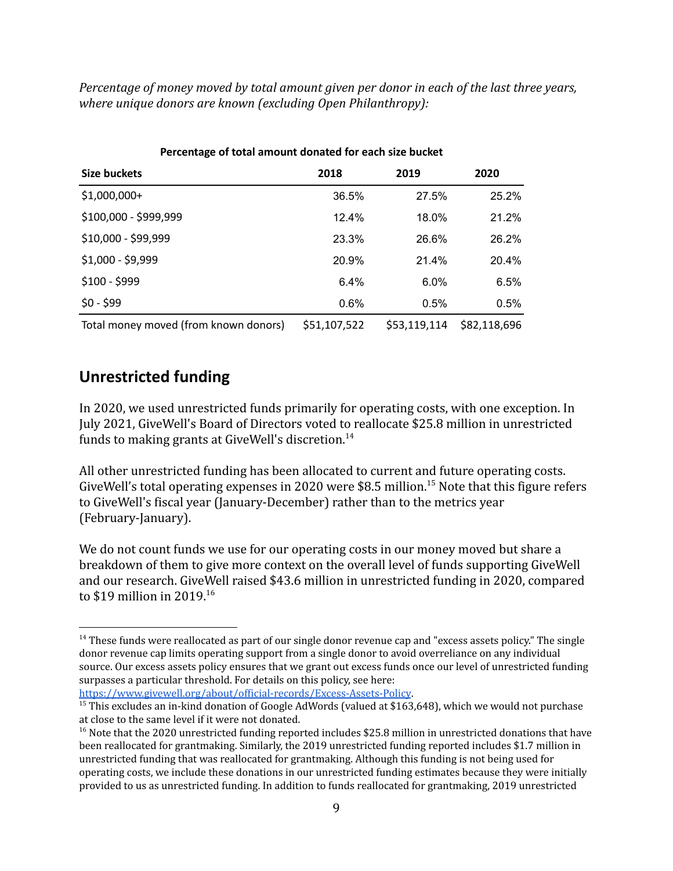*Percentage of money moved by total amount given per donor in each of the last three years, where unique donors are known (excluding Open Philanthropy):*

| Size buckets                          | 2018         | 2019         | 2020         |  |  |  |
|---------------------------------------|--------------|--------------|--------------|--|--|--|
| $$1,000,000+$                         | 36.5%        | 27.5%        | 25.2%        |  |  |  |
| \$100,000 - \$999,999                 | 12.4%        | 18.0%        | 21.2%        |  |  |  |
| \$10,000 - \$99,999                   | 23.3%        | 26.6%        | 26.2%        |  |  |  |
| $$1,000 - $9,999$                     | 20.9%        | 21.4%        | 20.4%        |  |  |  |
| $$100 - $999$                         | 6.4%         | 6.0%         | 6.5%         |  |  |  |
| $$0 - $99$                            | 0.6%         | 0.5%         | 0.5%         |  |  |  |
| Total money moved (from known donors) | \$51,107,522 | \$53,119,114 | \$82,118,696 |  |  |  |

#### **Percentage of total amount donated for each size bucket**

### <span id="page-8-0"></span>**Unrestricted funding**

In 2020, we used unrestricted funds primarily for operating costs, with one exception. In July 2021, GiveWell's Board of Directors voted to reallocate \$25.8 million in unrestricted funds to making grants at GiveWell's discretion.<sup>14</sup>

All other unrestricted funding has been allocated to current and future operating costs. GiveWell's total operating expenses in 2020 were \$8.5 million.<sup>15</sup> Note that this figure refers to GiveWell's fiscal year (January-December) rather than to the metrics year (February-January).

We do not count funds we use for our operating costs in our money moved but share a breakdown of them to give more context on the overall level of funds supporting GiveWell and our research. GiveWell raised \$43.6 million in unrestricted funding in 2020, compared to \$19 million in 2019.<sup>16</sup>

<https://www.givewell.org/about/official-records/Excess-Assets-Policy>.

<sup>&</sup>lt;sup>14</sup> These funds were reallocated as part of our single donor revenue cap and "excess assets policy." The single donor revenue cap limits operating support from a single donor to avoid overreliance on any individual source. Our excess assets policy ensures that we grant out excess funds once our level of unrestricted funding surpasses a particular threshold. For details on this policy, see here:

<sup>&</sup>lt;sup>15</sup> This excludes an in-kind donation of Google AdWords (valued at \$163,648), which we would not purchase at close to the same level if it were not donated.

<sup>&</sup>lt;sup>16</sup> Note that the 2020 unrestricted funding reported includes \$25.8 million in unrestricted donations that have been reallocated for grantmaking. Similarly, the 2019 unrestricted funding reported includes \$1.7 million in unrestricted funding that was reallocated for grantmaking. Although this funding is not being used for operating costs, we include these donations in our unrestricted funding estimates because they were initially provided to us as unrestricted funding. In addition to funds reallocated for grantmaking, 2019 unrestricted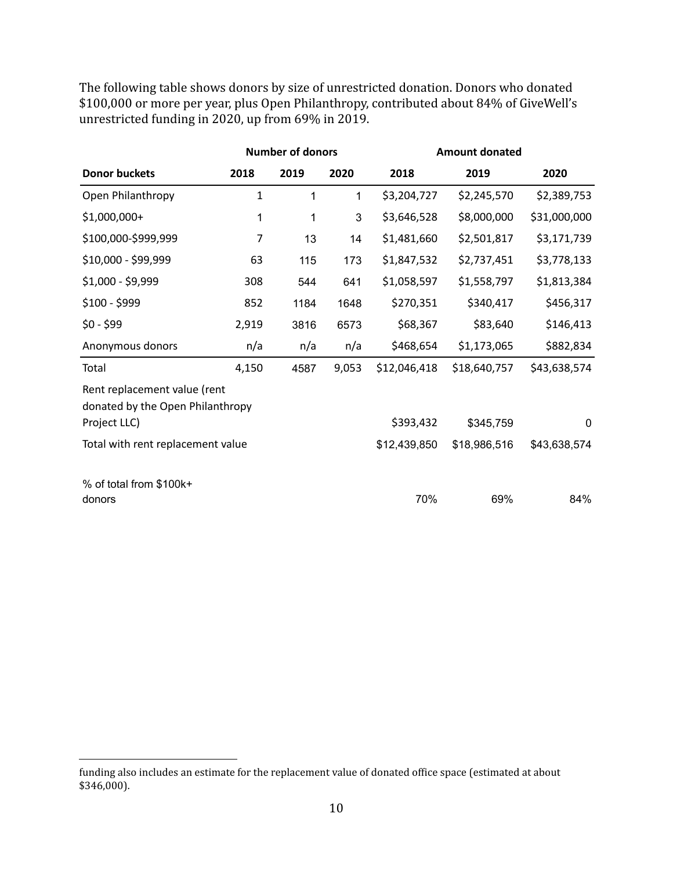The following table shows donors by size of unrestricted donation. Donors who donated \$100,000 or more per year, plus Open Philanthropy, contributed about 84% of GiveWell's unrestricted funding in 2020, up from 69% in 2019.

|                                                                  |                | <b>Number of donors</b> |       | <b>Amount donated</b> |              |              |
|------------------------------------------------------------------|----------------|-------------------------|-------|-----------------------|--------------|--------------|
| <b>Donor buckets</b>                                             | 2018           | 2019                    | 2020  | 2018                  | 2019         | 2020         |
| Open Philanthropy                                                | 1              | 1                       | 1     | \$3,204,727           | \$2,245,570  | \$2,389,753  |
| \$1,000,000+                                                     | 1              | 1                       | 3     | \$3,646,528           | \$8,000,000  | \$31,000,000 |
| \$100,000-\$999,999                                              | $\overline{7}$ | 13                      | 14    | \$1,481,660           | \$2,501,817  | \$3,171,739  |
| \$10,000 - \$99,999                                              | 63             | 115                     | 173   | \$1,847,532           | \$2,737,451  | \$3,778,133  |
| \$1,000 - \$9,999                                                | 308            | 544                     | 641   | \$1,058,597           | \$1,558,797  | \$1,813,384  |
| $$100 - $999$                                                    | 852            | 1184                    | 1648  | \$270,351             | \$340,417    | \$456,317    |
| $$0 - $99$                                                       | 2,919          | 3816                    | 6573  | \$68,367              | \$83,640     | \$146,413    |
| Anonymous donors                                                 | n/a            | n/a                     | n/a   | \$468,654             | \$1,173,065  | \$882,834    |
| Total                                                            | 4,150          | 4587                    | 9,053 | \$12,046,418          | \$18,640,757 | \$43,638,574 |
| Rent replacement value (rent<br>donated by the Open Philanthropy |                |                         |       |                       |              |              |
| Project LLC)                                                     |                |                         |       | \$393,432             | \$345,759    | 0            |
| Total with rent replacement value                                |                |                         |       | \$12,439,850          | \$18,986,516 | \$43,638,574 |
| % of total from \$100k+<br>donors                                |                |                         |       | 70%                   | 69%          | 84%          |

funding also includes an estimate for the replacement value of donated office space (estimated at about \$346,000).